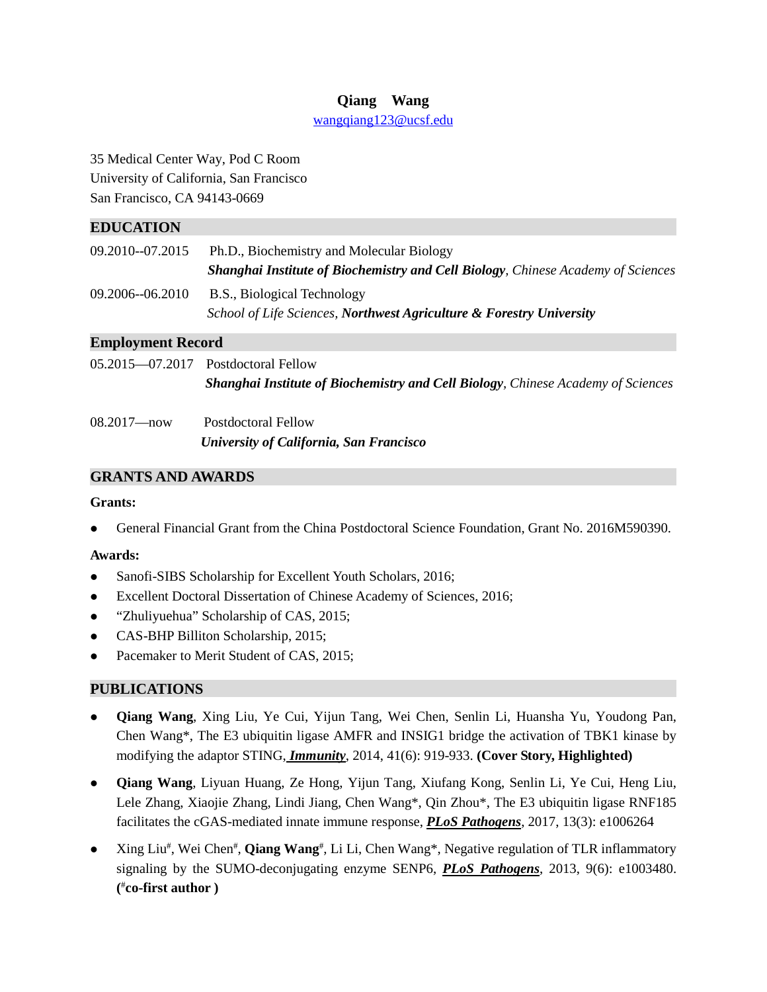## **Qiang Wang**

[wangqiang123@ucsf.edu](mailto:wangqiang123@ucsf.edu)

35 Medical Center Way, Pod C Room University of California, San Francisco San Francisco, CA 94143-0669

## **EDUCATION**

| 09.2010--07.2015 | Ph.D., Biochemistry and Molecular Biology                                               |  |
|------------------|-----------------------------------------------------------------------------------------|--|
|                  | <b>Shanghai Institute of Biochemistry and Cell Biology, Chinese Academy of Sciences</b> |  |
| 09.2006--06.2010 | B.S., Biological Technology                                                             |  |
|                  | School of Life Sciences, Northwest Agriculture & Forestry University                    |  |

## **Employment Record**

| $05.2015 - 07.2017$ Postdoctoral Fellow                                                 |
|-----------------------------------------------------------------------------------------|
| <b>Shanghai Institute of Biochemistry and Cell Biology, Chinese Academy of Sciences</b> |
|                                                                                         |

| $08.2017 - now$ | <b>Postdoctoral Fellow</b><br>University of California, San Francisco |
|-----------------|-----------------------------------------------------------------------|
|                 |                                                                       |

# **GRANTS AND AWARDS**

## **Grants:**

General Financial Grant from the China Postdoctoral Science Foundation, Grant No. 2016M590390.

## **Awards:**

- Sanofi-SIBS Scholarship for Excellent Youth Scholars, 2016;
- Excellent Doctoral Dissertation of Chinese Academy of Sciences, 2016;
- "Zhuliyuehua" Scholarship of CAS, 2015;
- CAS[-BHP Billiton S](http://www.baidu.com/link?url=_QM-ys5NuiLK-JoINR_igAvjsOFglxkiL599dffYuVgtZtndXWVNiV8U4bmxHef5)cholarship, 2015;
- Pacemaker to Merit Student of CAS, 2015;

## **PUBLICATIONS**

- **Qiang Wang**, Xing Liu, Ye Cui, Yijun Tang, Wei Chen, Senlin Li, Huansha Yu, Youdong Pan, Chen Wang\*, The E3 ubiquitin ligase AMFR and INSIG1 bridge the activation of TBK1 kinase by modifying the adaptor STING, *Immunity*, 2014, 41(6): 919-933. **(Cover Story, Highlighted)**
- **Qiang Wang**, Liyuan Huang, Ze Hong, Yijun Tang, Xiufang Kong, Senlin Li, Ye Cui, Heng Liu, Lele Zhang, Xiaojie Zhang, Lindi Jiang, Chen Wang\*, Qin Zhou\*, The E3 ubiquitin ligase RNF185 facilitates the cGAS-mediated innate immune response, *PLoS Pathogens*, 2017, 13(3): e1006264
- Xing Liu<sup>#</sup>, Wei Chen<sup>#</sup>, **Qiang Wang**<sup>#</sup>, Li Li, Chen Wang<sup>\*</sup>, Negative regulation of TLR inflammatory signaling by the SUMO-deconjugating enzyme SENP6, *PLoS Pathogens*, 2013, 9(6): e1003480. **(** # **co-first author )**